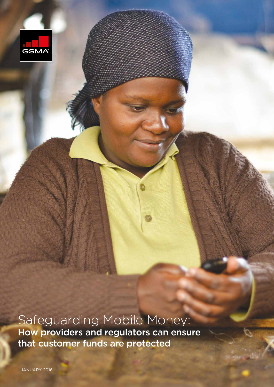

Safeguarding Mobile Money: How providers and regulators can ensure that customer funds are protected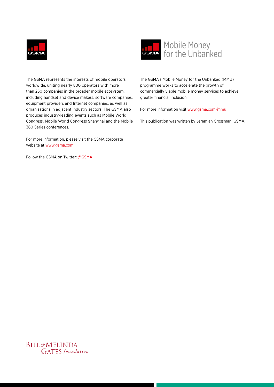



The GSMA represents the interests of mobile operators worldwide, uniting nearly 800 operators with more than 250 companies in the broader mobile ecosystem, including handset and device makers, software companies, equipment providers and Internet companies, as well as organisations in adjacent industry sectors. The GSMA also produces industry-leading events such as Mobile World Congress, Mobile World Congress Shanghai and the Mobile 360 Series conferences.

For more information, please visit the GSMA corporate website at www.gsma.com

Follow the GSMA on Twitter: @GSMA

The GSMA's Mobile Money for the Unbanked (MMU) programme works to accelerate the growth of commercially viable mobile money services to achieve greater financial inclusion.

For more information visit www.gsma.com/mmu

This publication was written by Jeremiah Grossman, GSMA.

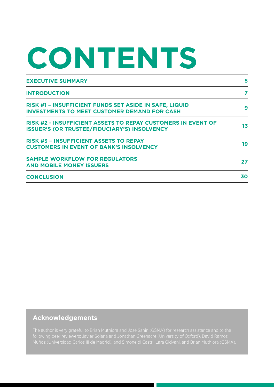# **CONTENTS**

| <b>EXECUTIVE SUMMARY</b>                                                                                                   | 5  |
|----------------------------------------------------------------------------------------------------------------------------|----|
| <b>INTRODUCTION</b>                                                                                                        | 7  |
| RISK #1 - INSUFFICIENT FUNDS SET ASIDE IN SAFE, LIQUID<br><b>INVESTMENTS TO MEET CUSTOMER DEMAND FOR CASH</b>              | 9  |
| <b>RISK #2 - INSUFFICIENT ASSETS TO REPAY CUSTOMERS IN EVENT OF</b><br><b>ISSUER'S (OR TRUSTEE/FIDUCIARY'S) INSOLVENCY</b> | 13 |
| <b>RISK #3 - INSUFFICIENT ASSETS TO REPAY</b><br><b>CUSTOMERS IN EVENT OF BANK'S INSOLVENCY</b>                            | 19 |
| <b>SAMPLE WORKFLOW FOR REGULATORS</b><br><b>AND MOBILE MONEY ISSUERS</b>                                                   | 27 |
| <b>CONCLUSION</b>                                                                                                          | 30 |

#### **Acknowledgements**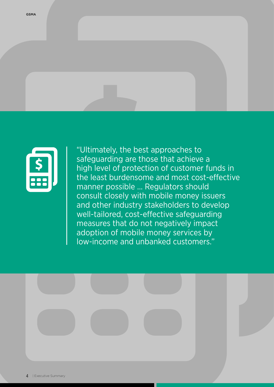

"Ultimately, the best approaches to safeguarding are those that achieve a high level of protection of customer funds in the least burdensome and most cost-effective manner possible ... Regulators should consult closely with mobile money issuers and other industry stakeholders to develop well-tailored, cost-effective safeguarding measures that do not negatively impact adoption of mobile money services by low-income and unbanked customers."

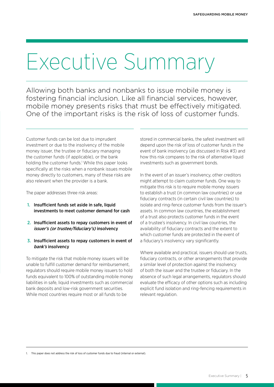## <span id="page-4-0"></span>Executive Summary

Allowing both banks and nonbanks to issue mobile money is fostering financial inclusion. Like all financial services, however, mobile money presents risks that must be effectively mitigated. One of the important risks is the risk of loss of customer funds.

Customer funds can be lost due to imprudent investment or due to the insolvency of the mobile money issuer, the trustee or fiduciary managing the customer funds (if applicable), or the bank holding the customer funds.<sup>1</sup> While this paper looks specifically at the risks when a nonbank issues mobile money directly to customers, many of these risks are also relevant when the provider is a bank.

The paper addresses three risk areas:

- 1. Insufficient funds set aside in safe, liquid investments to meet customer demand for cash
- 2. Insufficient assets to repay customers in event of issuer's (or trustee/fiduciary's) insolvency
- 3. Insufficient assets to repay customers in event of bank's insolvency

To mitigate the risk that mobile money issuers will be unable to fulfill customer demand for reimbursement, regulators should require mobile money issuers to hold funds equivalent to 100% of outstanding mobile money liabilities in safe, liquid investments such as commercial bank deposits and low-risk government securities. While most countries require most or all funds to be

stored in commercial banks, the safest investment will depend upon the risk of loss of customer funds in the event of bank insolvency (as discussed in Risk #3) and how this risk compares to the risk of alternative liquid investments such as government bonds.

In the event of an issuer's insolvency, other creditors might attempt to claim customer funds. One way to mitigate this risk is to require mobile money issuers to establish a trust (in common law countries) or use fiduciary contracts (in certain civil law countries) to isolate and ring-fence customer funds from the issuer's assets. In common law countries, the establishment of a trust also protects customer funds in the event of a trustee's insolvency. In civil law countries, the availability of fiduciary contracts and the extent to which customer funds are protected in the event of a fiduciary's insolvency vary significantly.

Where available and practical, issuers should use trusts, fiduciary contracts, or other arrangements that provide a similar level of protection against the insolvency of both the issuer and the trustee or fiduciary. In the absence of such legal arrangements, regulators should evaluate the efficacy of other options such as including explicit fund isolation and ring-fencing requirements in relevant regulation.

1. This paper does not address the risk of loss of customer funds due to fraud (internal or external).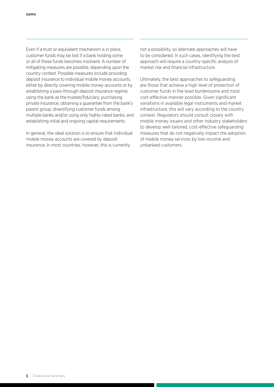Even if a trust or equivalent mechanism is in place, customer funds may be lost if a bank holding some or all of these funds becomes insolvent. A number of mitigating measures are possible, depending upon the country context. Possible measures include providing deposit insurance to individual mobile money accounts, either by directly covering mobile money accounts or by establishing a pass-through deposit insurance regime; using the bank as the trustee/fiduciary; purchasing private insurance; obtaining a guarantee from the bank's parent group; diversifying customer funds among multiple banks and/or using only highly-rated banks; and establishing initial and ongoing capital requirements.

In general, the ideal solution is to ensure that individual mobile money accounts are covered by deposit insurance. In most countries, however, this is currently

not a possibility, so alternate approaches will have to be considered. In such cases, identifying the best approach will require a country-specific analysis of market risk and financial infrastructure.

Ultimately, the best approaches to safeguarding are those that achieve a high level of protection of customer funds in the least burdensome and most cost-effective manner possible. Given significant variations in available legal instruments and market infrastructure, this will vary according to the country context. Regulators should consult closely with mobile money issuers and other industry stakeholders to develop well-tailored, cost-effective safeguarding measures that do not negatively impact the adoption of mobile money services by low-income and unbanked customers.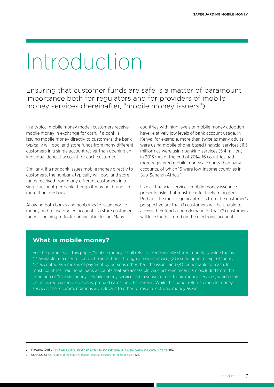## <span id="page-6-0"></span>Introduction

Ensuring that customer funds are safe is a matter of paramount importance both for regulators and for providers of mobile money services (hereinafter, "mobile money issuers").

In a typical mobile money model, customers receive mobile money in exchange for cash. If a bank is issuing mobile money directly to customers, the bank typically will pool and store funds from many different customers in a single account rather than opening an individual deposit account for each customer.

Similarly, if a nonbank issues mobile money directly to customers, the nonbank typically will pool and store funds received from many different customers in a single account per bank, though it may hold funds in more than one bank.

Allowing both banks and nonbanks to issue mobile money and to use pooled accounts to store customer funds is helping to foster financial inclusion. Many

countries with high levels of mobile money adoption have relatively low levels of bank account usage. In Kenya, for example, more than twice as many adults were using mobile phone-based financial services (11.5 million) as were using banking services (5.4 million) in 2013.<sup>2</sup> As of the end of 2014, 16 countries had more registered mobile money accounts than bank accounts, of which 15 were low-income countries in Sub-Saharan Africa<sup>3</sup>

Like all financial services, mobile money issuance presents risks that must be effectively mitigated. Perhaps the most significant risks from the customer's perspective are that (1) customers will be unable to access their funds upon demand or that (2) customers will lose funds stored on the electronic account.

#### **What is mobile money?**

For the purposes of this paper, "mobile money" shall refer to electronically stored monetary value that is (1) available to a user to conduct transactions through a mobile device, (2) issued upon receipt of funds, (3) accepted as a means of payment by persons other than the issuer, and (4) redeemable for cash. In most countries, traditional bank accounts that are accessible via electronic means are excluded from the definition of "mobile money". Mobile money services are a subset of electronic money services, which may be delivered via mobile phones, prepaid cards, or other means. While this paper refers to mobile money services, the recommendations are relevant to other forms of electronic money as well.

<sup>2.</sup> FinAccess (2013), "[FinAccess National Survey 2013: Profiling Developments in Financial Access and Usage in Kenya,](http://fsdkenya.org/wp-content/uploads/2015/08/13-10-31_FinAccess_2013_Report.pdf)" p19.

<sup>3.</sup> GSMA (2015), ["2014 State of the Industry: Mobile Financial Services for the Unbanked](http://www.gsma.com/mobilefordevelopment/wp-content/uploads/2015/03/SOTIR_2014.pdf)," p26.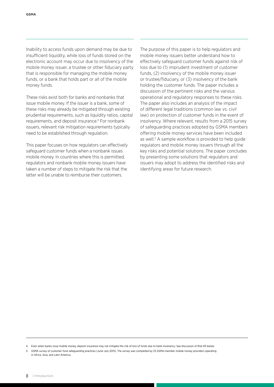Inability to access funds upon demand may be due to insufficient liquidity, while loss of funds stored on the electronic account may occur due to insolvency of the mobile money issuer, a trustee or other fiduciary party that is responsible for managing the mobile money funds, or a bank that holds part or all of the mobile money funds.

These risks exist both for banks and nonbanks that issue mobile money. If the issuer is a bank, some of these risks may already be mitigated through existing prudential requirements, such as liquidity ratios, capital requirements, and deposit insurance.4 For nonbank issuers, relevant risk mitigation requirements typically need to be established through regulation.

This paper focuses on how regulators can effectively safeguard customer funds when a nonbank issues mobile money. In countries where this is permitted, regulators and nonbank mobile money issuers have taken a number of steps to mitigate the risk that the latter will be unable to reimburse their customers.

The purpose of this paper is to help regulators and mobile money issuers better understand how to effectively safeguard customer funds against risk of loss due to (1) imprudent investment of customer funds, (2) insolvency of the mobile money issuer or trustee/fiduciary, or (3) insolvency of the bank holding the customer funds. The paper includes a discussion of the pertinent risks and the various operational and regulatory responses to these risks. The paper also includes an analysis of the impact of different legal traditions (common law vs. civil law) on protection of customer funds in the event of insolvency. Where relevant, results from a 2015 survey of safeguarding practices adopted by GSMA members offering mobile money services have been included as well.<sup>5</sup> A sample workflow is provided to help guide regulators and mobile money issuers through all the key risks and potential solutions. The paper concludes by presenting some solutions that regulators and issuers may adopt to address the identified risks and identifying areas for future research.

<sup>4.</sup> Even when banks issue mobile money, deposit insurance may not mitigate the risk of loss of funds due to bank insolvency. See discussion of Risk #3 below.

<sup>5.</sup> GSMA survey of customer fund safeguarding practices (June-July 2015). The survey was completed by 23 GSMA-member mobile money providers operating in Africa, Asia, and Latin America.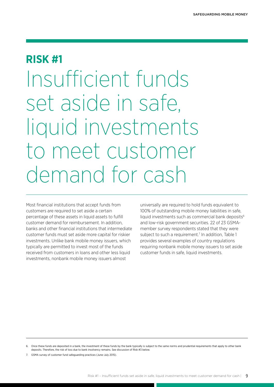### <span id="page-8-0"></span>**RISK #1**

Insufficient funds set aside in safe, liquid investments to meet customer demand for cash

Most financial institutions that accept funds from customers are required to set aside a certain percentage of these assets in liquid assets to fulfill customer demand for reimbursement. In addition, banks and other financial institutions that intermediate customer funds must set aside more capital for riskier investments. Unlike bank mobile money issuers, which typically are permitted to invest most of the funds received from customers in loans and other less liquid investments, nonbank mobile money issuers almost

universally are required to hold funds equivalent to 100% of outstanding mobile money liabilities in safe, liquid investments such as commercial bank deposits<sup>6</sup> and low-risk government securities. 22 of 23 GSMAmember survey respondents stated that they were subject to such a requirement.<sup>7</sup> In addition, Table 1 provides several examples of country regulations requiring nonbank mobile money issuers to set aside customer funds in safe, liquid investments.

7. GSMA survey of customer fund safeguarding practices (June-July 2015).

<sup>6.</sup> Once these funds are deposited in a bank, the investment of these funds by the bank typically is subject to the same norms and prudential requirements that apply to other bank deposits. Therefore, the risk of loss due to bank insolvency remains. See discussion of Risk #3 below.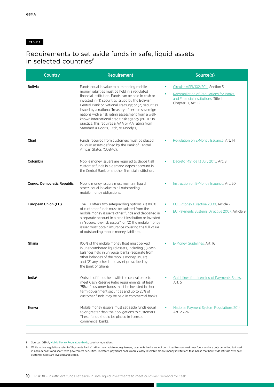#### TABLE 1

### Requirements to set aside funds in safe, liquid assets in selected countries<sup>8</sup>

| <b>Country</b>             | <b>Requirement</b>                                                                                                                                                                                                                                                                                                                                                                                                                                                                                                           | Source(s)                                                                                                                                                    |  |
|----------------------------|------------------------------------------------------------------------------------------------------------------------------------------------------------------------------------------------------------------------------------------------------------------------------------------------------------------------------------------------------------------------------------------------------------------------------------------------------------------------------------------------------------------------------|--------------------------------------------------------------------------------------------------------------------------------------------------------------|--|
| <b>Bolivia</b>             | Funds equal in value to outstanding mobile<br>money liabilities must be held in a regulated<br>financial institution. Funds can be held in cash or<br>invested in (1) securities issued by the Bolivian<br>Central Bank or National Treasury; or (2) securities<br>issued by a national Treasury of certain sovereign<br>nations with a risk rating assessment from a well-<br>known international credit risk agency [NOTE: In<br>practice, this requires a AAA or AA rating from<br>Standard & Poor's, Fitch, or Moody's]. | Circular ASFI/102/2011, Section 5<br>٠<br>Recompilation of Regulations for Banks<br>$\bullet$<br>and Financial Institutions, Title I,<br>Chapter 17, Art. 12 |  |
| Chad                       | Funds received from customers must be placed<br>in liquid assets defined by the Bank of Central<br>African States (COBAC).                                                                                                                                                                                                                                                                                                                                                                                                   | Regulation on E-Money Issuance, Art. 14<br>٠                                                                                                                 |  |
| Colombia                   | Mobile money issuers are required to deposit all<br>customer funds in a demand deposit account in<br>the Central Bank or another financial institution.                                                                                                                                                                                                                                                                                                                                                                      | Decreto 1491 de 13 July 2015, Art. 8<br>٠                                                                                                                    |  |
| Congo, Democratic Republic | Mobile money issuers must maintain liquid<br>assets equal in value to all outstanding<br>mobile money obligations.                                                                                                                                                                                                                                                                                                                                                                                                           | Instruction on E-Money Issuance, Art. 20<br>٠                                                                                                                |  |
| European Union (EU)        | The EU offers two safeguarding options: (1) 100%<br>of customer funds must be isolated from the<br>mobile money issuer's other funds and deposited in<br>a separate account in a credit institution or invested<br>in "secure, low-risk assets"; or (2) the mobile money<br>issuer must obtain insurance covering the full value<br>of outstanding mobile money liabilities.                                                                                                                                                 | EU E-Money Directive 2009, Article 7<br>$\bullet$<br>EU Payments Systems Directive 2007, Article 9                                                           |  |
| Ghana                      | 100% of the mobile money float must be kept<br>in unencumbered liquid assets, including (1) cash<br>balances held in universal banks (separate from<br>other balances of the mobile money issuer)<br>and (2) any other liquid asset prescribed by<br>the Bank of Ghana.                                                                                                                                                                                                                                                      | E-Money Guidelines, Art. 16                                                                                                                                  |  |
| India <sup>9</sup>         | Outside of funds held with the central bank to<br>meet Cash Reserve Ratio requirements, at least<br>75% of customer funds must be invested in short-<br>term government securities and up to 25% of<br>customer funds may be held in commercial banks.                                                                                                                                                                                                                                                                       | Guidelines for Licensing of Payments Banks,<br>Art. 5                                                                                                        |  |
| Kenya                      | Mobile money issuers must set aside funds equal<br>to or greater than their obligations to customers.<br>These funds should be placed in licensed<br>commercial banks.                                                                                                                                                                                                                                                                                                                                                       | National Payment System Regulations 2014,<br>Art. 25-26                                                                                                      |  |

8. Sources: GSMA, [Mobile Money Regulatory Guide](http://www.gsma.com/mobilefordevelopment/programmes/mobile-money/mobile-money-regulatory-guide); country regulations.

9. While India's regulations refer to "Payments Banks" rather than mobile money issuers, payments banks are not permitted to store customer funds and are only permitted to invest in bank deposits and short-term government securities. Therefore, payments banks more closely resemble mobile money institutions than banks that have wide latitude over how customer funds are invested and stored.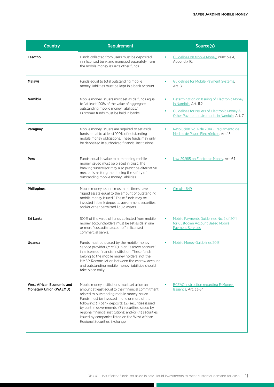| <b>Country</b>                                                    | Requirement                                                                                                                                                                                                                                                                                                                                                                                                                                               | Source(s)                                                                                                                                                                               |
|-------------------------------------------------------------------|-----------------------------------------------------------------------------------------------------------------------------------------------------------------------------------------------------------------------------------------------------------------------------------------------------------------------------------------------------------------------------------------------------------------------------------------------------------|-----------------------------------------------------------------------------------------------------------------------------------------------------------------------------------------|
| Lesotho                                                           | Funds collected from users must be deposited<br>in a licensed bank and managed separately from<br>the mobile money issuer's other funds.                                                                                                                                                                                                                                                                                                                  | Guidelines on Mobile Money, Principle 4,<br>$\bullet$<br>Appendix 10.                                                                                                                   |
| Malawi                                                            | Funds equal to total outstanding mobile<br>money liabilities must be kept in a bank account.                                                                                                                                                                                                                                                                                                                                                              | <b>Guidelines for Mobile Payment Systems,</b><br>٠<br>Art. 8                                                                                                                            |
| <b>Namibia</b>                                                    | Mobile money issuers must set aside funds equal<br>to "at least 100% of the value of aggregate<br>outstanding mobile money liabilities."<br>Customer funds must be held in banks.                                                                                                                                                                                                                                                                         | Determination on Issuing of Electronic Money<br>٠<br>in Namibia, Art. 11.2<br>Guidelines for Issuers of Electronic Money &<br>$\bullet$<br>Other Payment Instruments in Namibia, Art. 7 |
| Paraguay                                                          | Mobile money issuers are required to set aside<br>funds equal to at least 100% of outstanding<br>mobile money obligations. These funds may only<br>be deposited in authorized financial institutions.                                                                                                                                                                                                                                                     | Resolución No. 6 de 2014 - Reglamento de<br>$\bullet$<br>Medios de Pagos Electrónicos, Art. 15.                                                                                         |
| Peru                                                              | Funds equal in value to outstanding mobile<br>money issued must be placed in trust. The<br>banking supervisor may also prescribe alternative<br>mechanisms for guaranteeing the safety of<br>outstanding mobile money liabilities.                                                                                                                                                                                                                        | Law 29,985 on Electronic Money, Art. 6.1<br>٠                                                                                                                                           |
| Philippines                                                       | Mobile money issuers must at all times have<br>"liquid assets equal to the amount of outstanding<br>mobile money issued." These funds may be<br>invested in bank deposits, government securities,<br>and/or other permitted liquid assets.                                                                                                                                                                                                                | Circular 649<br>$\bullet$                                                                                                                                                               |
| Sri Lanka                                                         | 100% of the value of funds collected from mobile<br>money accountholders must be set aside in one<br>or more "custodian accounts" in licensed<br>commercial banks.                                                                                                                                                                                                                                                                                        | Mobile Payments Guidelines No. 2 of 2011<br>$\bullet$<br>for Custodian Account Based Mobile<br><b>Payment Services</b>                                                                  |
| Uganda                                                            | Funds must be placed by the mobile money<br>service provider (MMSP) in an "escrow account"<br>in a licensed financial institution. These funds<br>belong to the mobile money holders, not the<br>MMSP. Reconciliation between the escrow account<br>and outstanding mobile money liabilities should<br>take place daily.                                                                                                                                  | <b>Mobile Money Guidelines 2013</b>                                                                                                                                                     |
| <b>West African Economic and</b><br><b>Monetary Union (WAEMU)</b> | Mobile money institutions must set aside an<br>amount at least equal to their financial commitment<br>related to outstanding mobile money issued.<br>Funds must be invested in one or more of the<br>following: (1) bank deposits; (2) securities issued<br>by central governments; (3) securities issued by<br>regional financial institutions; and/or (4) securities<br>issued by companies listed on the West African<br>Regional Securities Exchange. | <b>BCEAO</b> Instruction regarding E-Money<br>٠<br>Issuance, Art. 33-34                                                                                                                 |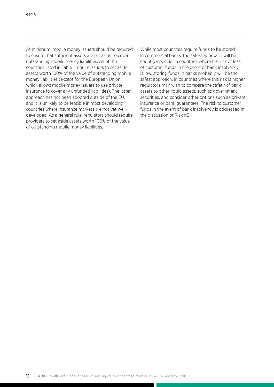At minimum, mobile money issuers should be required to ensure that sufficient assets are set aside to cover outstanding mobile money liabilities. All of the countries listed in Table 1 require issuers to set aside assets worth 100% of the value of outstanding mobile money liabilities (except for the European Union, which allows mobile money issuers to use private insurance to cover any unfunded liabilities). The latter approach has not been adopted outside of the EU, and it is unlikely to be feasible in most developing countries where insurance markets are not yet welldeveloped. As a general rule, regulators should require providers to set aside assets worth 100% of the value of outstanding mobile money liabilities.

While most countries require funds to be stored in commercial banks, the safest approach will be country-specific. In countries where the risk of loss of customer funds in the event of bank insolvency is low, storing funds in banks probably will be the safest approach. In countries where this risk is higher, regulators may wish to compare the safety of bank assets to other liquid assets, such as government securities, and consider other options such as private insurance or bank guarantees. The risk to customer funds in the event of bank insolvency is addressed in the discussion of Risk #3.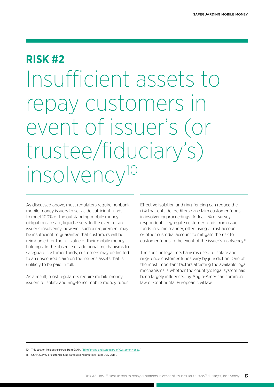### <span id="page-12-0"></span>**RISK #2**

Insufficient assets to repay customers in event of issuer's (or trustee/fiduciary's) insolvency<sup>10</sup>

As discussed above, most regulators require nonbank mobile money issuers to set aside sufficient funds to meet 100% of the outstanding mobile money obligations in safe, liquid assets. In the event of an issuer's insolvency, however, such a requirement may be insufficient to guarantee that customers will be reimbursed for the full value of their mobile money holdings. In the absence of additional mechanisms to safeguard customer funds, customers may be limited to an unsecured claim on the issuer's assets that is unlikely to be paid in full.

As a result, most regulators require mobile money issuers to isolate and ring-fence mobile money funds. Effective isolation and ring-fencing can reduce the risk that outside creditors can claim customer funds in insolvency proceedings. At least 3/4 of survey respondents segregate customer funds from issuer funds in some manner, often using a trust account or other custodial account to mitigate the risk to customer funds in the event of the issuer's insolvency.<sup>11</sup>

The specific legal mechanisms used to isolate and ring-fence customer funds vary by jurisdiction. One of the most important factors affecting the available legal mechanisms is whether the country's legal system has been largely influenced by Anglo-American common law or Continental European civil law.

11. GSMA Survey of customer fund safeguarding practices (June-July 2015).

<sup>10.</sup> This section includes excerpts from GSMA, "[Ringfencing and Safeguard of Customer Money](http://www.gsma.com/mobilefordevelopment/programmes/mobile-money-for-the-unbanked/safeguard-of-customer-money)."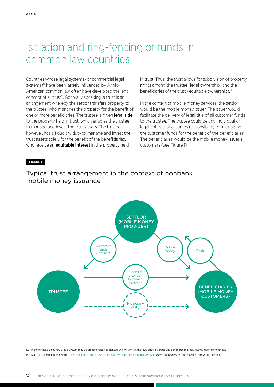## Isolation and ring-fencing of funds in common law countries

Countries whose legal systems (or commercial legal systems)<sup>12</sup> have been largely influenced by Anglo-American common law often have developed the legal concept of a "trust". Generally speaking, a trust is an arrangement whereby the settlor transfers property to the trustee, who manages the property for the benefit of one or more beneficiaries. The trustee is given legal title to the property held in trust, which enables the trustee to manage and invest the trust assets. The trustee, however, has a fiduciary duty to manage and invest the trust assets solely for the benefit of the beneficiaries, who receive an **equitable interest** in the property held

in trust. Thus, the trust allows for subdivision of property rights among the trustee (legal ownership) and the beneficiaries of the trust (equitable ownership).<sup>13</sup>

In the context of mobile money services, the settlor would be the mobile money issuer. The issuer would facilitate the delivery of legal title of all customer funds to the trustee. The trustee could be any individual or legal entity that assumes responsibility for managing the customer funds for the benefit of the beneficiaries. The beneficiaries would be the mobile money issuer's customers (see Figure 1).

FIGURE 1

#### Typical trust arrangement in the context of nonbank mobile money issuance



12. In some cases, a country's legal system may be predominantly influenced by civil law, yet the laws affecting trade and commerce may rely heavily upon common law.

13. See, e.g., Hansmann and Mattei, [The Functions of Trust Law: a Comparative Legal and Economic Analysis,](http://works.bepress.com/cgi/viewcontent.cgi?article=1021&context=ugo_mattei) *New York University Law Review 5*, pp438-440 (1998).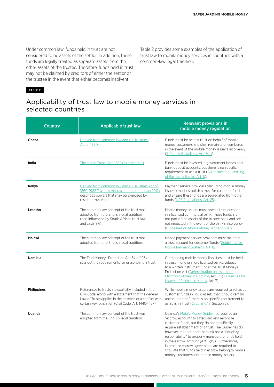Under common law, funds held in trust are not considered to be assets of the settlor. In addition, these funds are legally treated as separate assets from the other assets of the trustee. Therefore, funds held in trust may not be claimed by creditors of either the settlor or the trustee in the event that either becomes insolvent.

Table 2 provides some examples of the application of trust law to mobile money services in countries with a common-law legal tradition.

#### TABLE 2

#### Applicability of trust law to mobile money services in selected countries

| <b>Country</b>     | <b>Applicable trust law</b>                                                                                                                                                                                                    | <b>Relevant provisions in</b><br>mobile money regulation                                                                                                                                                                                                                                                                                                                                                                                                                                                              |
|--------------------|--------------------------------------------------------------------------------------------------------------------------------------------------------------------------------------------------------------------------------|-----------------------------------------------------------------------------------------------------------------------------------------------------------------------------------------------------------------------------------------------------------------------------------------------------------------------------------------------------------------------------------------------------------------------------------------------------------------------------------------------------------------------|
| Ghana              | Derived from common law and UK Trustees<br>Act of 1860.                                                                                                                                                                        | Funds must be held in trust on behalf of mobile<br>money customers and shall remain unencumbered<br>in the event of the mobile money issuer's insolvency<br>(E-Money Guidelines, Art. 7(4)).                                                                                                                                                                                                                                                                                                                          |
| India              | The Indian Trusts Act, 1882 (as amended)                                                                                                                                                                                       | Funds must be invested in government bonds and<br>bank deposit accounts, but there is no specific<br>requirement to use a trust (Guidelines for Licensing<br>of Payments Banks, Art. 5).                                                                                                                                                                                                                                                                                                                              |
| Kenya              | Derived from common law and UK Trustees Act of<br>1860. 1982 Trustees Act (as amended through 2012)<br>describes powers that may be exercised by<br>resident trustees.                                                         | Payment service providers (including mobile money<br>issuers) must establish a trust for customer funds<br>and ensure these funds are segregated from other<br>funds (NPS Regulations, Art. 25).                                                                                                                                                                                                                                                                                                                      |
| Lesotho            | The common law concept of the trust was<br>adopted from the English legal tradition<br>(and influenced by South African trust law<br>and case law).                                                                            | Mobile money issuers must open a trust account<br>in a licensed commercial bank. These funds are<br>not part of the assets of the trustee bank and are<br>not impacted in the event of the bank's insolvency<br>(Guidelines on Mobile Money, Appendix 10).                                                                                                                                                                                                                                                            |
| <b>Malawi</b>      | The common law concept of the trust was<br>adopted from the English legal tradition.                                                                                                                                           | Mobile payment service providers must maintain<br>a trust account for customer funds (Guidelines for<br>Mobile Payment Systems, Art. 8).                                                                                                                                                                                                                                                                                                                                                                              |
| <b>Namibia</b>     | The Trust Moneys Protection Act 34 of 1934<br>sets out the requirements for establishing a trust.                                                                                                                              | Outstanding mobile money liabilities must be held<br>in trust in one or more licensed banks, subject<br>to a written instrument under the Trust Moneys<br>Protection Act (Determination on Issuing of<br>Electronic Money in Namibia, Art. 11.2; Guidelines for<br><b>Issuers of Electronic Money, Art. 7).</b>                                                                                                                                                                                                       |
| <b>Philippines</b> | References to trusts are explicitly included in the<br>Civil Code, along with a statement that the general<br>Law of Trusts applies in the absence of a conflict with<br>certain key legislation (Civil Code, Art. 1440-1457). | While mobile money issuers are required to set aside<br>customer funds in liquid assets that "should remain<br>unencumbered", there is no specific requirement to<br>establish a trust (Circular 649, Section 5).                                                                                                                                                                                                                                                                                                     |
| Uganda             | The common law concept of the trust was<br>adopted from the English legal tradition.                                                                                                                                           | Uganda's Mobile Money Guidelines requires an<br>"escrow account" to safeguard and reconcile<br>customer funds, but they do not specifically<br>require establishment of a trust. The Guidelines do,<br>however, mention that the bank has a "fiduciary<br>responsibility" to properly manage the funds held<br>in the escrow account (Art. 6(b)). Furthermore,<br>in practice escrow agreements are required to<br>stipulate that funds held in escrow belong to mobile<br>money customers, not mobile money issuers. |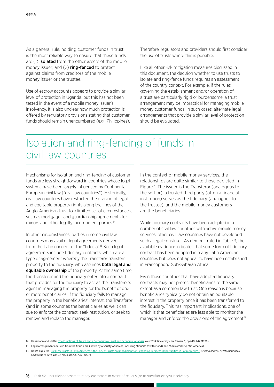As a general rule, holding customer funds in trust is the most reliable way to ensure that these funds are (1) **isolated** from the other assets of the mobile money issuer; and (2) **ring-fenced** to protect against claims from creditors of the mobile money issuer or the trustee.

Use of escrow accounts appears to provide a similar level of protection in Uganda, but this has not been tested in the event of a mobile money issuer's insolvency. It is also unclear how much protection is offered by regulatory provisions stating that customer funds should remain unencumbered (e.g., Philippines).

Therefore, regulators and providers should first consider the use of trusts where this is possible.

Like all other risk mitigation measures discussed in this document, the decision whether to use trusts to isolate and ring-fence funds requires an assessment of the country context. For example, if the rules governing the establishment and/or operation of a trust are particularly rigid or burdensome, a trust arrangement may be impractical for managing mobile money customer funds. In such cases, alternate legal arrangements that provide a similar level of protection should be evaluated.

## Isolation and ring-fencing of funds in civil law countries

Mechanisms for isolation and ring-fencing of customer funds are less straightforward in countries whose legal systems have been largely influenced by Continental European civil law ("civil law countries"). Historically, civil law countries have restricted the division of legal and equitable property rights along the lines of the Anglo-American trust to a limited set of circumstances, such as mortgages and guardianship agreements for minors and other legally incompetent parties.<sup>14</sup>

In other circumstances, parties in some civil law countries may avail of legal agreements derived from the Latin concept of the "fiducia".15 Such legal agreements include fiduciary contracts, which are a type of agreement whereby the Transferor transfers property to the fiduciary, who assumes **both legal and equitable ownership** of the property. At the same time, the Transferor and the fiduciary enter into a contract that provides for the fiduciary to act as the Transferor's agent in managing the property for the benefit of one or more beneficiaries. If the fiduciary fails to manage the property in the beneficiaries' interest, the Transferor (and in some countries the beneficiaries as well) can sue to enforce the contract, seek restitution, or seek to remove and replace the manager.

In the context of mobile money services, the relationships are quite similar to those depicted in Figure 1. The issuer is the Transferor (analogous to the settlor), a trusted third party (often a financial institution) serves as the fiduciary (analogous to the trustee), and the mobile money customers are the beneficiaries.

While fiduciary contracts have been adopted in a number of civil law countries with active mobile money services, other civil law countries have not developed such a legal construct. As demonstrated in Table 3, the available evidence indicates that some form of fiduciary contract has been adopted in many Latin American countries but does not appear to have been established in Francophone Sub-Saharan Africa.

Even those countries that have adopted fiduciary contracts may not protect beneficiaries to the same extent as a common law trust. One reason is because beneficiaries typically do not obtain an equitable interest in the property once it has been transferred to the fiduciary. This has important implications, one of which is that beneficiaries are less able to monitor the manager and enforce the provisions of the agreement.<sup>16</sup>

<sup>14.</sup> Hansmann and Mattei, [The Functions of Trust Law: a Comparative Legal and Economic Analysis,](http://works.bepress.com/cgi/viewcontent.cgi?article=1021&context=ugo_mattei) *New York University Law Review 5*, pp440-442 (1998).

<sup>15.</sup> Legal arrangements derived from the fiducia are known by a variety of names, including "fiducie" (Switzerland) and "fideicomiso" (Latin America).

<sup>16.</sup> Dante Figueroa, [Civil Law Trusts in Latin America: Is the Lack of Trusts an Impediment for Expanding Business Opportunities in Latin America?,](http://arizonajournal.org/wp-content/uploads/2015/11/4.-Figueroa-9x6.pdf) *Arizona Journal of International & Comparative Law, Vol. 24, No. 3, pp725-726* (2007).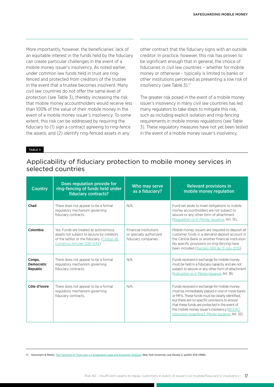More importantly, however, the beneficiaries' lack of an equitable interest in the funds held by the fiduciary can create particular challenges in the event of a mobile money issuer's insolvency. As noted earlier, under common law funds held in trust are ringfenced and protected from creditors of the trustee in the event that a trustee becomes insolvent. Many civil law countries do not offer the same level of protection (see Table 3), thereby increasing the risk that mobile money accountholders would receive less than 100% of the value of their mobile money in the event of a mobile money issuer's insolvency. To some extent, this risk can be addressed by requiring the fiduciary to (1) sign a contract agreeing to ring-fence the assets; and (2) identify ring-fenced assets in any

other contract that the fiduciary signs with an outside creditor. In practice, however, this risk has proven to be significant enough that in general, the choice of fiduciaries in civil law countries – whether for mobile money or otherwise – typically is limited to banks or other institutions perceived as presenting a low risk of insolvency (see Table 3).17

The greater risk posed in the event of a mobile money issuer's insolvency in many civil law countries has led many regulators to take steps to mitigate this risk, such as including explicit isolation and ring-fencing requirements in mobile money regulations (see Table 3). These regulatory measures have not yet been tested in the event of a mobile money issuer's insolvency.

#### TABLE 3

#### Applicability of fiduciary protection to mobile money services in selected countries

| <b>Country</b>                   | Does regulation provide for<br>ring-fencing of funds held under<br>fiduciary contracts?                                                                             | Who may serve<br>as a fiduciary?                                                 | <b>Relevant provisions in</b><br>mobile money regulation                                                                                                                                                                                                                                                                                                   |
|----------------------------------|---------------------------------------------------------------------------------------------------------------------------------------------------------------------|----------------------------------------------------------------------------------|------------------------------------------------------------------------------------------------------------------------------------------------------------------------------------------------------------------------------------------------------------------------------------------------------------------------------------------------------------|
| Chad                             | There does not appear to be a formal<br>regulatory mechanism governing<br>fiduciary contracts.                                                                      | N/A                                                                              | Fund set aside to meet obligations to mobile<br>money accountholders are not subject to<br>seizure or any other form of attachment<br>(Regulation on E-Money Issuance, Art. 15).                                                                                                                                                                           |
| Colombia                         | Yes. Funds are treated as autonomous<br>assets not subject to seizure by creditors<br>of the settlor or the fiduciary. (Código de<br>Comercio, Articles 1226-1244). | <b>Financial institutions</b><br>or specially authorized<br>fiduciary companies. | Mobile money issuers are required to deposit all<br>customer funds in a demand deposit account in<br>the Central Bank or another financial institution.<br>No specific provisions on ring-fencing have<br>been included (Decreto 1491 de 13 July 2015).                                                                                                    |
| Congo,<br>Democratic<br>Republic | There does not appear to be a formal<br>regulatory mechanism governing<br>fiduciary contracts.                                                                      | N/A                                                                              | Funds received in exchange for mobile money<br>must be held in a fiduciary capacity and are not<br>subject to seizure or any other form of attachment<br>(Instruction on E-Money Issuance, Art. 18).                                                                                                                                                       |
| Côte d'Ivoire                    | There does not appear to be a formal<br>regulatory mechanism governing<br>fiduciary contracts.                                                                      | N/A                                                                              | Funds received in exchange for mobile money<br>must be immediately placed in one or more banks<br>or MFIs. These funds must be clearly identified,<br>but there are no specific provisions to ensure<br>that these funds are protected in the event of<br>the mobile money issuer's insolvency (BCEAO<br>Instruction regarding E-Money Issuance, Art. 32). |

17. Hansmann & Mattei, [The Functions of Trust Law: a Comparative Legal and Economic Analysis,](http://works.bepress.com/cgi/viewcontent.cgi?article=1021&context=ugo_mattei) *New York University Law Review 5*, pp454-459 (1998).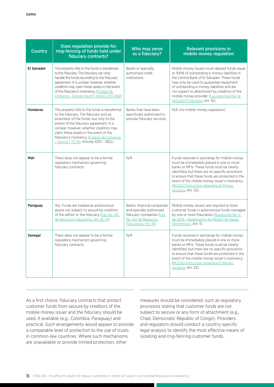| <b>Country</b>     | Does regulation provide for<br>ring-fencing of funds held under<br>fiduciary contracts?                                                                                                                                                                                                                                                                                    | Who may serve<br>as a fiduciary?                                                                                                     | <b>Relevant provisions in</b><br>mobile money regulation                                                                                                                                                                                                                                                                                                                    |
|--------------------|----------------------------------------------------------------------------------------------------------------------------------------------------------------------------------------------------------------------------------------------------------------------------------------------------------------------------------------------------------------------------|--------------------------------------------------------------------------------------------------------------------------------------|-----------------------------------------------------------------------------------------------------------------------------------------------------------------------------------------------------------------------------------------------------------------------------------------------------------------------------------------------------------------------------|
| <b>El Salvador</b> | The property title to the funds is transferred<br>to the fiduciary. The fiduciary can only<br>handle the funds according to the fiduciary<br>agreement. It is unclear, however, whether<br>creditors may claim these assets in the event<br>of the fiduciary's insolvency. (Código de<br>Cómercio - Decreto No 671, Article 1233-1262).                                    | Banks or specially<br>authorised credit<br>institutions.                                                                             | Mobile money issuers must deposit funds equal<br>to 100% of outstanding e-money liabilities in<br>the Central Bank of El Salvador. These funds<br>may only be used to guarantee repayment<br>of outstanding e-money liabilities and are<br>not subject to attachment by creditors of the<br>mobile money provider (Ley para Facilitar la<br>Inclusión Financiera, Art. 10). |
| <b>Honduras</b>    | The property title to the funds is transferred<br>to the fiduciary. The fiduciary acts as<br>proprietor of the funds, but only to the<br>extent of the fiduciary agreement. It is<br>unclear, however, whether creditors may<br>claim these assets in the event of the<br>fiduciary's insolvency. (Código de Comercio<br>- Norma <sup>o</sup> 73-50, Articles 1033 - 1062) | Banks that have been<br>specifically authorized to<br>provide fiduciary services.                                                    | N/A (no mobile money regulation)                                                                                                                                                                                                                                                                                                                                            |
| Mali               | There does not appear to be a formal<br>regulatory mechanism governing<br>fiduciary contracts.                                                                                                                                                                                                                                                                             | N/A                                                                                                                                  | Funds received in exchange for mobile money<br>must be immediately placed in one or more<br>banks or MFIs. These funds must be clearly<br>identified, but there are no specific provisions<br>to ensure that these funds are protected in the<br>event of the mobile money issuer's insolvency<br>(BCEAO Instruction regarding E-Money)<br>Issuance, Art. 32).              |
| Paraguay           | Yes. Funds are treated as autonomous<br>assets not subject to seizure by creditors<br>of the settlor or the fiduciary (Ley No. 921<br>de Negocios Fiduciarios, Art. 10, 13).                                                                                                                                                                                               | Banks, financial companies,<br>and specially authorized<br>fiduciary companies (Ley<br>No. 921 de Negocios<br>Fiduciarios, Art. 19). | Mobile money issuers are required to store<br>customer funds in autonomous funds managed<br>by one or more fiduciaries (Resolucion No. 6<br>de 2014 - Reglamento de Medios de Pagos<br>Electronicos, Art. 15.                                                                                                                                                               |
| Senegal            | There does not appear to be a formal<br>regulatory mechanism governing<br>fiduciary contracts.                                                                                                                                                                                                                                                                             | N/A                                                                                                                                  | Funds received in exchange for mobile money<br>must be immediately placed in one or more<br>banks or MFIs. These funds must be clearly<br>identified, but there are no specific provisions<br>to ensure that these funds are protected in the<br>event of the mobile money issuer's insolvency<br>(BCEAO Instruction regarding E-Money)<br>Issuance, Art. 32).              |

As a first choice, fiduciary contracts that protect customer funds from seizure by creditors of the mobile money issuer and the fiduciary should be used, if available (e.g., Colombia, Paraguay) and practical. Such arrangements would appear to provide a comparable level of protection to the use of trusts in common-law countries. Where such mechanisms are unavailable or provide limited protection, other

measures should be considered, such as regulatory provisions stating that customer funds are not subject to seizure or any form of attachment (e.g., Chad, Democratic Republic of Congo). Providers and regulators should conduct a country-specific legal analysis to identify the most effective means of isolating and ring-fencing customer funds.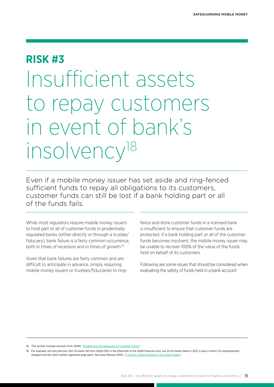## <span id="page-18-0"></span>**RISK #3**

## Insufficient assets to repay customers in event of bank's insolvency18

Even if a mobile money issuer has set aside and ring-fenced sufficient funds to repay all obligations to its customers, customer funds can still be lost if a bank holding part or all of the funds fails.

While most regulators require mobile money issuers to hold part or all of customer funds in prudentially regulated banks (either directly or through a trustee/ fiduciary), bank failure is a fairly common occurrence, both in times of recession and in times of growth.19

Given that bank failures are fairly common and are difficult to anticipate in advance, simply requiring mobile money issuers or trustees/fiduciaries to ringfence and store customer funds in a licensed bank is insufficient to ensure that customer funds are protected. If a bank holding part or all of the customer funds becomes insolvent, the mobile money issuer may be unable to recover 100% of the value of the funds held on behalf of its customers.

Following are some issues that should be considered when evaluating the safety of funds held in a bank account:

18. This section includes excerpts from GSMA, "[Ringfencing and Safeguard of Customer Money](http://www.gsma.com/mobilefordevelopment/programmes/mobile-money-for-the-unbanked/safeguard-of-customer-money).

19. For example, not only did over 300 US banks fail from 2008-2010 in the aftermath of the 2008 financial crisis, but 24 US banks failed in 2013, a year in which US unemployment dropped and the stock market registered large gains. See Dave Manuel (2015), ["A History of Bank Failures in the United States"](http://www.davemanuel.com/history-of-bank-failures-in-the-united-states.php).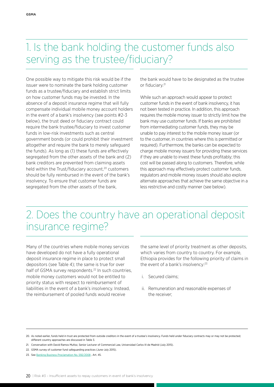## 1. Is the bank holding the customer funds also serving as the trustee/fiduciary?

One possible way to mitigate this risk would be if the issuer were to nominate the bank holding customer funds as a trustee/fiduciary and establish strict limits on how customer funds may be invested. In the absence of a deposit insurance regime that will fully compensate individual mobile money account holders in the event of a bank's insolvency (see points #2-3 below), the trust deed or fiduciary contract could require the bank trustee/fiduciary to invest customer funds in low-risk investments such as central government bonds (or could prohibit their investment altogether and require the bank to merely safeguard the funds). As long as (1) these funds are effectively segregated from the other assets of the bank and (2) bank creditors are prevented from claiming assets held within the Trust/fiduciary account.<sup>20</sup> customers should be fully reimbursed in the event of the bank's insolvency. To ensure that customer funds are segregated from the other assets of the bank,

the bank would have to be designated as the trustee or fiduciary.21

While such an approach would appear to protect customer funds in the event of bank insolvency, it has not been tested in practice. In addition, this approach requires the mobile money issuer to strictly limit how the bank may use customer funds. If banks are prohibited from intermediating customer funds, they may be unable to pay interest to the mobile money issuer (or to the customer, in countries where this is permitted or required). Furthermore, the banks can be expected to charge mobile money issuers for providing these services if they are unable to invest these funds profitably; this cost will be passed along to customers. Therefore, while this approach may effectively protect customer funds, regulators and mobile money issuers should also explore alternate approaches that achieve the same objective in a less restrictive and costly manner (see below).

## 2. Does the country have an operational deposit insurance regime?

Many of the countries where mobile money services have developed do not have a fully operational deposit insurance regime in place to protect small depositors (see Table 4); the same is true for over half of GSMA survey respondents.<sup>22</sup> In such countries, mobile money customers would not be entitled to priority status with respect to reimbursement of liabilities in the event of a bank's insolvency. Instead, the reimbursement of pooled funds would receive

the same level of priority treatment as other deposits, which varies from country to country. For example, Ethiopia provides for the following priority of claims in the event of a bank's insolvency:23

- i. Secured claims;
- ii. Remuneration and reasonable expenses of the receiver;

<sup>20.</sup> As noted earlier, funds held in trust are protected from outside creditors in the event of a trustee's insolvency. Funds held under fiduciary contracts may or may not be protected; different country approaches are discussed in Table 3.

<sup>21.</sup> Conversation with David Ramos Muñoz, Senior Lecturer of Commercial Law, Universidad Carlos III de Madrid (July 2015).

<sup>22.</sup> GSMA survey of customer fund safeguarding practices (June-July 2015).

<sup>23.</sup> See [Banking Business Proclamation No. 592/2008](http://www.nbe.gov.et/pdf/Proclamation/BANKING BUSINESS 592.pdf) , Art. 45.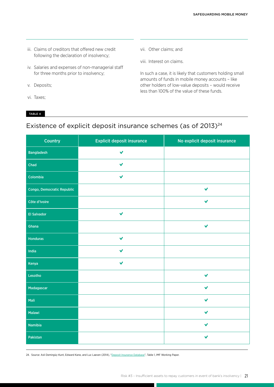- iii. Claims of creditors that offered new credit following the declaration of insolvency;
- iv. Salaries and expenses of non-managerial staff for three months prior to insolvency;
- v. Deposits;
- vi. Taxes;

TABLE 4

- vii. Other claims; and
- viii. Interest on claims.

In such a case, it is likely that customers holding small amounts of funds in mobile money accounts – like other holders of low-value deposits – would receive less than 100% of the value of these funds.

### Existence of explicit deposit insurance schemes (as of 2013)<sup>24</sup>

| Country                    | <b>Explicit deposit insurance</b> | No explicit deposit insurance |
|----------------------------|-----------------------------------|-------------------------------|
| <b>Bangladesh</b>          | V                                 |                               |
| Chad                       | $\checkmark$                      |                               |
| Colombia                   | $\checkmark$                      |                               |
| Congo, Democratic Republic |                                   | $\checkmark$                  |
| Côte d'Ivoire              |                                   | $\checkmark$                  |
| <b>El Salvador</b>         | $\checkmark$                      |                               |
| Ghana                      |                                   | $\checkmark$                  |
| <b>Honduras</b>            | $\checkmark$                      |                               |
| India                      | $\checkmark$                      |                               |
| Kenya                      | $\checkmark$                      |                               |
| Lesotho                    |                                   | $\checkmark$                  |
| Madagascar                 |                                   | $\checkmark$                  |
| Mali                       |                                   | $\checkmark$                  |
| Malawi                     |                                   | $\checkmark$                  |
| Namibia                    |                                   | $\checkmark$                  |
| Pakistan                   |                                   | $\checkmark$                  |

24. Source: Asli Demirgüç-Kunt, Edward Kane, and Luc Laeven (2014), ["Deposit Insurance Database](https://www.imf.org/external/pubs/ft/wp/2014/wp14118.pdf)", Table 1, IMF Working Paper.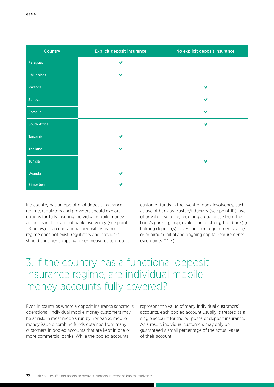| <b>Country</b>      | <b>Explicit deposit insurance</b> | No explicit deposit insurance |
|---------------------|-----------------------------------|-------------------------------|
| Paraguay            | $\checkmark$                      |                               |
| <b>Philippines</b>  | $\checkmark$                      |                               |
| Rwanda              |                                   | $\checkmark$                  |
| Senegal             |                                   | $\checkmark$                  |
| <b>Somalia</b>      |                                   | $\checkmark$                  |
| <b>South Africa</b> |                                   | $\checkmark$                  |
| <b>Tanzania</b>     | $\checkmark$                      |                               |
| Thailand            | $\checkmark$                      |                               |
| <b>Tunisia</b>      |                                   | $\checkmark$                  |
| Uganda              | $\checkmark$                      |                               |
| Zimbabwe            | $\checkmark$                      |                               |

If a country has an operational deposit insurance regime, regulators and providers should explore options for fully insuring individual mobile money accounts in the event of bank insolvency (see point #3 below). If an operational deposit insurance regime does not exist, regulators and providers should consider adopting other measures to protect customer funds in the event of bank insolvency, such as use of bank as trustee/fiduciary (see point #1), use of private insurance, requiring a guarantee from the bank's parent group, evaluation of strength of bank(s) holding deposit(s), diversification requirements, and/ or minimum initial and ongoing capital requirements (see points #4-7).

## 3. If the country has a functional deposit insurance regime, are individual mobile money accounts fully covered?

Even in countries where a deposit insurance scheme is operational, individual mobile money customers may be at risk. In most models run by nonbanks, mobile money issuers combine funds obtained from many customers in pooled accounts that are kept in one or more commercial banks. While the pooled accounts

represent the value of many individual customers' accounts, each pooled account usually is treated as a single account for the purposes of deposit insurance. As a result, individual customers may only be guaranteed a small percentage of the actual value of their account.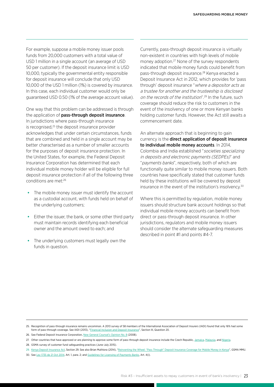For example, suppose a mobile money issuer pools funds from 20,000 customers with a total value of USD 1 million in a single account (an average of USD 50 per customer). If the deposit insurance limit is USD 10,000, typically the governmental entity responsible for deposit insurance will conclude that only USD 10,000 of the USD 1 million (1%) is covered by insurance. In this case, each individual customer would only be guaranteed USD 0.50 (1% of the average account value).

One way that this problem can be addressed is through the application of pass-through deposit insurance. In jurisdictions where pass-through insurance is recognised,<sup>25</sup> the deposit insurance provider acknowledges that under certain circumstances, funds that are combined and held in a single account may be better characterised as a number of smaller accounts for the purposes of deposit insurance protection. In the United States, for example, the Federal Deposit Insurance Corporation has determined that each individual mobile money holder will be eligible for full deposit insurance protection if all of the following three conditions are met:26

- **•** The mobile money issuer must identify the account as a custodial account, with funds held on behalf of the underlying customers;
- **•** Either the issuer, the bank, or some other third party must maintain records identifying each beneficial owner and the amount owed to each; and
- **•** The underlying customers must legally own the funds in question.

Currently, pass-through deposit insurance is virtually non-existent in countries with high levels of mobile money adoption.27 None of the survey respondents indicated that mobile money funds could benefit from pass-through deposit insurance.28 Kenya enacted a Deposit Insurance Act in 2012, which provides for 'pass through' deposit insurance "where a depositor acts as a trustee for another and the trusteeship is disclosed on the records of the institution".<sup>29</sup> In the future, such coverage should reduce the risk to customers in the event of the insolvency of one or more Kenyan banks holding customer funds. However, the Act still awaits a commencement date.

An alternate approach that is beginning to gain currency is the direct application of deposit insurance to individual mobile money accounts. In 2014, Colombia and India established "societies specializing in deposits and electronic payments (SEDPEs)" and "payments banks", respectively, both of which are functionally quite similar to mobile money issuers. Both countries have specifically stated that customer funds held by these institutions will be covered by deposit insurance in the event of the institution's insolvency.30

Where this is permitted by regulation, mobile money issuers should structure bank account holdings so that individual mobile money accounts can benefit from direct or pass-through deposit insurance. In other jurisdictions, regulators and mobile money issuers should consider the alternate safeguarding measures described in point #1 and points #4-7.

<sup>25.</sup> Recognition of pass-through insurance remains uncommon. A 2013 survey of 58 members of the International Association of Deposit Insurers (IADI) found that only 16% had some form of pass-through coverage. See IADI (2013), ["Financial Inclusion and Deposit Insurance"](http://www.iadi.org/docs/2013-06_Financial_Inclusion_and_Deposit_Insurance_publication-clean.pdf), Section III, Question 20.

<sup>26.</sup> See Federal Deposit Insurance Corporation, [New General Counsel's Opinion No. 8](http://www.gsma.com/mobilefordevelopment/wp-content/uploads/2013/03/E8-26867.pdf) (2008).

<sup>27.</sup> Other countries that have approved or are planning to approve some form of pass-through deposit insurance include the Czech Republic, [Jamaica,](http://www.jdic.org/files/page-attachments/deposit_insurance_amendment_act_2011.pdf) [Malaysia](http://www.pidm.gov.my/downloads/trustjoin.pdf), and [Nigeria.](http://www.dailytrust.com.ng/news/business/as-ndic-insured-mobile-money-users/117060.html)

<sup>28.</sup> GSMA survey of customer fund safeguarding practices (June-July 2015).

<sup>29.</sup> [Kenya Deposit Insurance Act,](http://www.gsma.com/mobilefordevelopment/wp-content/uploads/2013/03/Kenya-Deposit-Insurance-Act10of2012.pdf) Section 29. See also Brian Muthiora (2014), "[Reinventing the Wheel: "Pass Through" Deposit Insurance Coverage for Mobile Money in Kenya"](http://www.gsma.com/mobilefordevelopment/reinventing-the-wheel-pass-through-deposit-insurance-coverage-for-mobile-money-in-kenya), GSMA MMU.

<sup>30.</sup> See [Ley 1735 de 21 Oct 2014,](http://www.alcaldiabogota.gov.co/sisjur/normas/Norma1.jsp?i=59835) Art. 1, para. 2; and [Guidelines for Licensing of Payments Banks](https://rbidocs.rbi.org.in/rdocs/Content/PDFs/PAYMENT271114.pdf), Art. 4(i).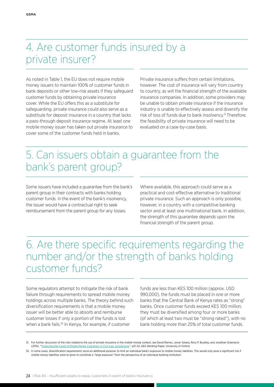## 4. Are customer funds insured by a private insurer?

As noted in Table 1, the EU does not require mobile money issuers to maintain 100% of customer funds in bank deposits or other low-risk assets if they safeguard customer funds by obtaining private insurance cover. While the EU offers this as a substitute for safeguarding, private insurance could also serve as a substitute for deposit insurance in a country that lacks a pass-through deposit insurance regime. At least one mobile money issuer has taken out private insurance to cover some of the customer funds held in banks.

Private insurance suffers from certain limitations, however. The cost of insurance will vary from country to country, as will the financial strength of the available insurance companies. In addition, some providers may be unable to obtain private insurance if the insurance industry is unable to effectively assess and diversify the risk of loss of funds due to bank insolvency.<sup>31</sup> Therefore, the feasibility of private insurance will need to be evaluated on a case-by-case basis.

## 5. Can issuers obtain a guarantee from the bank's parent group?

Some issuers have included a guarantee from the bank's parent group in their contracts with banks holding customer funds. In the event of the bank's insolvency, the issuer would have a contractual right to seek reimbursement from the parent group for any losses.

Where available, this approach could serve as a practical and cost-effective alternative to traditional private insurance. Such an approach is only possible, however, in a country with a competitive banking sector and at least one multinational bank. In addition, the strength of this guarantee depends upon the financial strength of the parent group.

## 6. Are there specific requirements regarding the number and/or the strength of banks holding customer funds?

Some regulators attempt to mitigate the risk of bank failure through requirements to spread mobile money holdings across multiple banks. The theory behind such diversification requirements is that a mobile money issuer will be better able to absorb and reimburse customer losses if only a portion of the funds is lost when a bank fails.<sup>32</sup> In Kenya, for example, if customer

funds are less than KES 100 million (approx. USD 990,000), the funds must be placed in one or more banks that the Central Bank of Kenya rates as "strong" banks. Once customer funds exceed KES 100 million, they must be diversified among four or more banks (of which at least two must be "strong rated"), with no bank holding more than 25% of total customer funds.

32. In some cases, diversification requirements serve an additional purpose: to limit an individual bank's exposure to mobile money liabilities. This would only pose a significant risk if mobile money liabilities were to grow to constitute a "large exposure" from the perspective of an individual banking institution.

<sup>31.</sup> For further discussion of the risks related to the use of private insurance in the mobile money context, see David Ramos, Javier Solana, Ross P. Buckley, and Jonathan Greenacre (2015), "[Protecting the Funds of Mobile Money Customers in Civil Law Jurisdictions](http://www.globaleconomicgovernance.org/sites/geg/files/GEG WP_102 Protecting the Funds of Mobile Money Customers in Civil Law Jurisdictions David Ramos et al_0.pdf)", p21-22, GEG Working Paper, University of Oxford.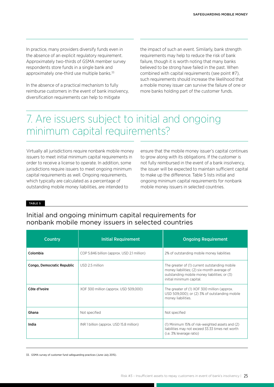In practice, many providers diversify funds even in the absence of an explicit regulatory requirement. Approximately two-thirds of GSMA member survey respondents store funds in a single bank and approximately one-third use multiple banks.<sup>33</sup>

In the absence of a practical mechanism to fully reimburse customers in the event of bank insolvency, diversification requirements can help to mitigate

the impact of such an event. Similarly, bank strength requirements may help to reduce the risk of bank failure, though it is worth noting that many banks believed to be strong have failed in the past. When combined with capital requirements (see point #7), such requirements should increase the likelihood that a mobile money issuer can survive the failure of one or more banks holding part of the customer funds.

## 7. Are issuers subject to initial and ongoing minimum capital requirements?

Virtually all jurisdictions require nonbank mobile money issuers to meet initial minimum capital requirements in order to receive a license to operate. In addition, some jurisdictions require issuers to meet ongoing minimum capital requirements as well. Ongoing requirements, which typically are calculated as a percentage of outstanding mobile money liabilities, are intended to

ensure that the mobile money issuer's capital continues to grow along with its obligations. If the customer is not fully reimbursed in the event of a bank insolvency, the issuer will be expected to maintain sufficient capital to make up the difference. Table 5 lists initial and ongoing minimum capital requirements for nonbank mobile money issuers in selected countries.

TABLE 5

#### Initial and ongoing minimum capital requirements for nonbank mobile money issuers in selected countries

| <b>Country</b>             | <b>Initial Requirement</b>                  | <b>Ongoing Requirement</b>                                                                                                                                               |
|----------------------------|---------------------------------------------|--------------------------------------------------------------------------------------------------------------------------------------------------------------------------|
| Colombia                   | COP 5.846 billion (approx. USD 2.1 million) | 2% of outstanding mobile money liabilities                                                                                                                               |
| Congo, Democratic Republic | USD 2.5 million                             | The greater of (1) current outstanding mobile<br>money liabilities; (2) six-month average of<br>outstanding mobile money liabilities; or (3)<br>initial minimum capital. |
| Côte d'Ivoire              | XOF 300 million (approx. USD 509,000)       | The greater of (1) XOF 300 million (approx.<br>USD 509,000); or (2) 3% of outstanding mobile<br>money liabilities.                                                       |
| Ghana                      | Not specified                               | Not specified                                                                                                                                                            |
| India                      | INR 1 billion (approx. USD 15.8 million)    | (1) Minimum 15% of risk-weighted assets and (2)<br>liabilities may not exceed 33.33 times net worth<br>(i.e. 3% leverage ratio)                                          |

33. GSMA survey of customer fund safeguarding practices (June-July 2015).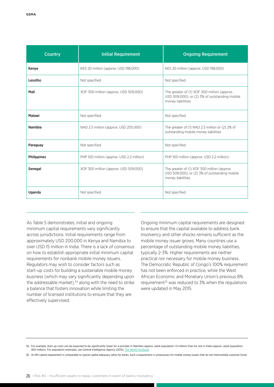| <b>Country</b>     | <b>Initial Requirement</b>                | <b>Ongoing Requirement</b>                                                                                         |
|--------------------|-------------------------------------------|--------------------------------------------------------------------------------------------------------------------|
| Kenya              | KES 20 million (approx. USD 198,000)      | KES 20 million (approx. USD 198,000)                                                                               |
| Lesotho            | Not specified                             | Not specified                                                                                                      |
| Mali               | XOF 300 million (approx. USD 509,000)     | The greater of (1) XOF 300 million (approx.<br>USD 509,000); or (2) 3% of outstanding mobile<br>money liabilities. |
| Malawi             | Not specified                             | Not specified                                                                                                      |
| <b>Namibia</b>     | NAD 2.5 million (approx. USD 205,000)     | The greater of (1) NAD 2.5 million or (2) 2% of<br>outstanding mobile money liabilities                            |
| Paraguay           | Not specified                             | Not specified                                                                                                      |
| <b>Philippines</b> | PHP 100 million (approx. USD 2.2 million) | PHP 100 million (approx. USD 2.2 million)                                                                          |
| Senegal            | XOF 300 million (approx. USD 509,000)     | The greater of (1) XOF 300 million (approx.<br>USD 509,000); or (2) 3% of outstanding mobile<br>money liabilities. |
| Uganda             | Not specified                             | Not specified                                                                                                      |

As Table 5 demonstrates, initial and ongoing minimum capital requirements vary significantly across jurisdictions. Initial requirements range from approximately USD 200,000 in Kenya and Namibia to over USD 15 million in India. There is a lack of consensus on how to establish appropriate initial minimum capital requirements for nonbank mobile money issuers. Regulators may wish to consider factors such as start-up costs for building a sustainable mobile money business (which may vary significantly depending upon the addressable market).<sup>34</sup> along with the need to strike a balance that fosters innovation while limiting the number of licensed institutions to ensure that they are effectively supervised.

Ongoing minimum capital requirements are designed to ensure that the capital available to address bank insolvency and other shocks remains sufficient as the mobile money issuer grows. Many countries use a percentage of outstanding mobile money liabilities, typically 2-3%. Higher requirements are neither practical nor necessary for mobile money business. The Democratic Republic of Congo's 100% requirement has not been enforced in practice, while the West African Economic and Monetary Union's previous 8% requirement<sup>35</sup> was reduced to 3% when the regulations were updated in May 2015.

<sup>34.</sup> For example, start-up costs can be expected to be significantly lower for a provider in Namibia (approx. adult population 1.5 million) than for one in India (approx. adult population 900 million). For population estimates, see Central Intelligence Agency (2015), The World Factbook

<sup>35.</sup> An 8% capital requirement is comparable to typical capital adequacy ratios for banks. Such a requirement is unnecessary for mobile money issuers that do not intermediate customer funds.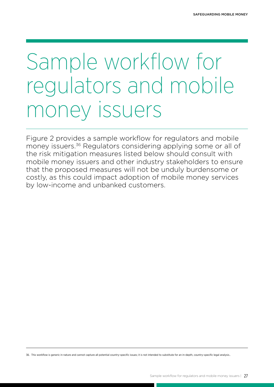## <span id="page-26-0"></span>Sample workflow for regulators and mobile money issuers

Figure 2 provides a sample workflow for regulators and mobile money issuers.<sup>36</sup> Regulators considering applying some or all of the risk mitigation measures listed below should consult with mobile money issuers and other industry stakeholders to ensure that the proposed measures will not be unduly burdensome or costly, as this could impact adoption of mobile money services by low-income and unbanked customers.

36. This workflow is generic in nature and cannot capture all potential country-specific issues; it is not intended to substitute for an in-depth, country-specific legal analysis..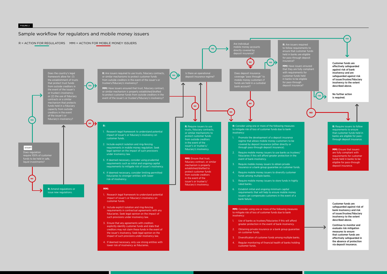#### FIGURE 2

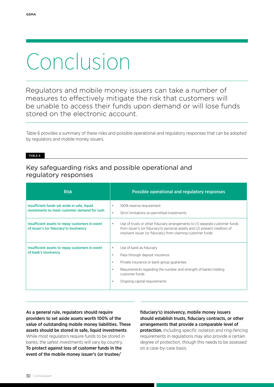## Conclusion

Regulators and mobile money issuers can take a number of measures to effectively mitigate the risk that customers will be unable to access their funds upon demand or will lose funds stored on the electronic account.

Table 6 provides a summary of these risks and possible operational and regulatory responses that can be adopted by regulators and mobile money issuers.

#### TABLE 6

### Key safeguarding risks and possible operational and regulatory responses

| <b>Risk</b>                                                                                  | Possible operational and regulatory responses                                                                                                                                                                                                                                                 |
|----------------------------------------------------------------------------------------------|-----------------------------------------------------------------------------------------------------------------------------------------------------------------------------------------------------------------------------------------------------------------------------------------------|
| Insufficient funds set aside in safe, liquid<br>investments to meet customer demand for cash | 100% reserve requirement<br>$\bullet$<br>Strict limitations on permitted investments<br>$\bullet$                                                                                                                                                                                             |
| Insufficient assets to repay customers in event<br>of issuer's (or fiduciary's) insolvency   | Use of trusts or other fiduciary arrangements to (1) separate customer funds<br>$\bullet$<br>from issuer's (or fiduciary's) personal assets and (2) prevent creditors of<br>insolvent issuer (or fiduciary) from claiming customer funds                                                      |
| Insufficient assets to repay customers in event<br>of bank's insolvency                      | Use of bank as fiduciary<br>$\bullet$<br>Pass-through deposit insurance<br>$\bullet$<br>Private insurance or bank group guarantee<br>$\bullet$<br>Requirements regarding the number and strength of banks holding<br>$\bullet$<br>customer funds<br>Ongoing capital requirements<br>$\bullet$ |

As a general rule, regulators should require providers to set aside assets worth 100% of the value of outstanding mobile money liabilities. These assets should be stored in safe, liquid investments. While most regulators require funds to be stored in banks, the safest investments will vary by country. To protect against loss of customer funds in the event of the mobile money issuer's (or trustee/

fiduciary's) insolvency, mobile money issuers should establish trusts, fiduciary contracts, or other arrangements that provide a comparable level of **protection.** Including specific isolation and ring-fencing requirements in regulations may also provide a certain degree of protection, though this needs to be assessed on a case-by-case basis.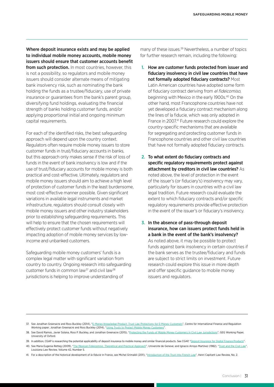Where deposit insurance exists and may be applied to individual mobile money accounts, mobile money issuers should ensure that customer accounts benefit from such protection. In most countries, however, this is not a possibility, so regulators and mobile money issuers should consider alternate means of mitigating bank insolvency risk, such as nominating the bank holding the funds as a trustee/fiduciary, use of private insurance or guarantees from the bank's parent group, diversifying fund holdings, evaluating the financial strength of banks holding customer funds, and/or applying proportional initial and ongoing minimum capital requirements.

For each of the identified risks, the best safeguarding approach will depend upon the country context. Regulators often require mobile money issuers to store customer funds in trust/fiduciary accounts in banks, but this approach only makes sense if the risk of loss of funds in the event of bank insolvency is low and if the use of trust/fiduciary accounts for mobile money is both practical and cost-effective. Ultimately, regulators and mobile money issuers should aim to achieve a high level of protection of customer funds in the least burdensome, most cost-effective manner possible. Given significant variations in available legal instruments and market infrastructure, regulators should consult closely with mobile money issuers and other industry stakeholders prior to establishing safeguarding requirements. This will help to ensure that the chosen requirements will effectively protect customer funds without negatively impacting adoption of mobile money services by lowincome and unbanked customers.

Safeguarding mobile money customers' funds is a complex legal matter with significant variation from country to country. Ongoing research into safeguarding customer funds in common law<sup>37</sup> and civil law<sup>38</sup> jurisdictions is helping to improve understanding of

many of these issues.<sup>39</sup> Nevertheless, a number of topics for further research remain, including the following:

- 1. How are customer funds protected from issuer and fiduciary insolvency in civil law countries that have not formally adopted fiduciary contracts? Most Latin American countries have adopted some form of fiduciary contract deriving from el fideicomiso, beginning with Mexico in the early 1900s.<sup>40</sup> On the other hand, most Francophone countries have not yet developed a fiduciary contract mechanism along the lines of la fiducie, which was only adopted in France in 2007.41 Future research could explore the country-specific mechanisms that are available for segregating and protecting customer funds in Francophone countries and other civil law countries that have not formally adopted fiduciary contracts.
- 2. To what extent do fiduciary contracts and specific regulatory requirements protect against attachment by creditors in civil law countries? As noted above, the level of protection in the event of the issuer's (or fiduciary's) insolvency may vary, particularly for issuers in countries with a civil law legal tradition. Future research could evaluate the extent to which fiduciary contracts and/or specific regulatory requirements provide effective protection in the event of the issuer's or fiduciary's insolvency.
- 3. In the absence of pass-through deposit insurance, how can issuers protect funds held in a bank in the event of the bank's insolvency? As noted above, it may be possible to protect funds against bank insolvency in certain countries if the bank serves as the trustee/fiduciary and funds are subject to strict limits on investment. Future research could explore this issue in more depth and offer specific guidance to mobile money issuers and regulators.

<sup>37.</sup> See Jonathan Greenacre and Ross Buckley (2014), "E[-Money Knowledge Product: Trust Law Protections for E-Money Customers"](http://www.uncdf.org/sites/default/files/Documents/knowledge_product_on_using_trusts_march_2014.pdf), Centre for International Finance and Regulation Working paper; Jonathan Greenacre and Ross Buckley (2014), ["Using Trusts to Protect Mobile Money Customers](http://www.uncdf.org/sites/default/files/Documents/using_trusts_to_protect_mobile_money_customers.pdf)".

<sup>38.</sup> See David Ramos, Javier Solana, Ross P. Buckley, and Jonathan Greenacre (2015), ["Protecting the Funds of Mobile Money Customers in Civil Law Jurisdictions"](http://www.globaleconomicgovernance.org/sites/geg/files/GEG WP_102 Protecting the Funds of Mobile Money Customers in Civil Law Jurisdictions David Ramos et al_0.pdf), GEG Working Paper, University of Oxford.

<sup>39.</sup> In addition, CGAP is researching the potential applicability of deposit insurance to mobile money and similar financial products. See CGAP, "[Deposit Insurance for Digital Finance Products"](http://www.cgap.org/blog/series/deposit-insurance-digital-finance-products).

<sup>40.</sup> See Maria Eugenia Retteg (2009), ["The Mexican Fideicomiso: Theoretical and Practical Approach](http://www.unige.ch/droit/mbl/upload/pdf/M_moire_RETTEG.pdf)", Universite de Geneve; and Ignacio Arroyo Martinez (1982), "[Trust and the Civil Law](http://digitalcommons.law.lsu.edu/cgi/viewcontent.cgi?article=4689&context=lalrev)", Louisiana Law Review, Volume 42, Number 5.

<sup>41.</sup> For a description of the historical development of *la fiducie* in France, see Michel Grimaldi (2011), "[Introduction of the Trust into French Law",](http://www.henricapitantlawreview.fr/article.php?lg=en&id=309) Henri Capitant Law Review, No. 2.